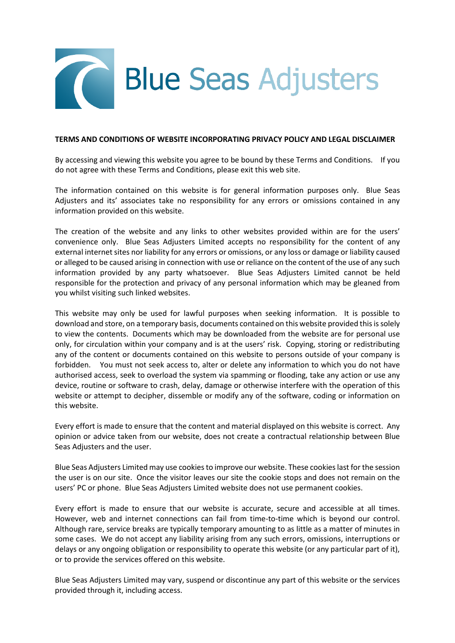

### **TERMS AND CONDITIONS OF WEBSITE INCORPORATING PRIVACY POLICY AND LEGAL DISCLAIMER**

By accessing and viewing this website you agree to be bound by these Terms and Conditions. If you do not agree with these Terms and Conditions, please exit this web site.

The information contained on this website is for general information purposes only. Blue Seas Adjusters and its' associates take no responsibility for any errors or omissions contained in any information provided on this website.

The creation of the website and any links to other websites provided within are for the users' convenience only. Blue Seas Adjusters Limited accepts no responsibility for the content of any external internet sites nor liability for any errors or omissions, or any loss or damage or liability caused or alleged to be caused arising in connection with use or reliance on the content of the use of any such information provided by any party whatsoever. Blue Seas Adjusters Limited cannot be held responsible for the protection and privacy of any personal information which may be gleaned from you whilst visiting such linked websites.

This website may only be used for lawful purposes when seeking information. It is possible to download and store, on a temporary basis, documents contained on this website provided this is solely to view the contents. Documents which may be downloaded from the website are for personal use only, for circulation within your company and is at the users' risk. Copying, storing or redistributing any of the content or documents contained on this website to persons outside of your company is forbidden. You must not seek access to, alter or delete any information to which you do not have authorised access, seek to overload the system via spamming or flooding, take any action or use any device, routine or software to crash, delay, damage or otherwise interfere with the operation of this website or attempt to decipher, dissemble or modify any of the software, coding or information on this website.

Every effort is made to ensure that the content and material displayed on this website is correct. Any opinion or advice taken from our website, does not create a contractual relationship between Blue Seas Adjusters and the user.

Blue Seas Adjusters Limited may use cookies to improve our website. These cookies last for the session the user is on our site. Once the visitor leaves our site the cookie stops and does not remain on the users' PC or phone. Blue Seas Adjusters Limited website does not use permanent cookies.

Every effort is made to ensure that our website is accurate, secure and accessible at all times. However, web and internet connections can fail from time-to-time which is beyond our control. Although rare, service breaks are typically temporary amounting to as little as a matter of minutes in some cases. We do not accept any liability arising from any such errors, omissions, interruptions or delays or any ongoing obligation or responsibility to operate this website (or any particular part of it), or to provide the services offered on this website.

Blue Seas Adjusters Limited may vary, suspend or discontinue any part of this website or the services provided through it, including access.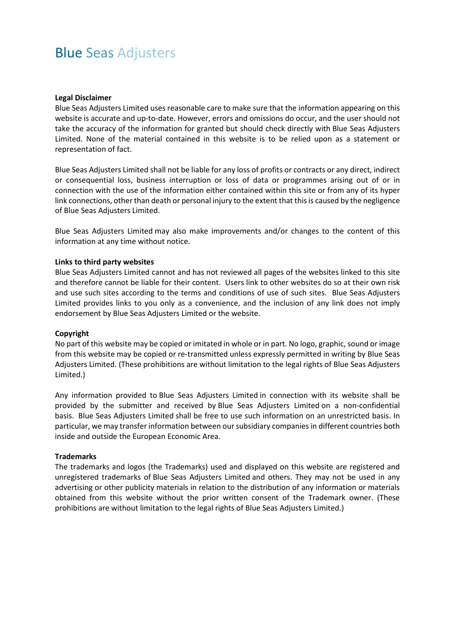# Blue Seas Adjusters

#### **Legal Disclaimer**

Blue Seas Adjusters Limited uses reasonable care to make sure that the information appearing on this website is accurate and up-to-date. However, errors and omissions do occur, and the user should not take the accuracy of the information for granted but should check directly with Blue Seas Adjusters Limited. None of the material contained in this website is to be relied upon as a statement or representation of fact.

Blue Seas Adjusters Limited shall not be liable for any loss of profits or contracts or any direct, indirect or consequential loss, business interruption or loss of data or programmes arising out of or in connection with the use of the information either contained within this site or from any of its hyper link connections, other than death or personal injury to the extent that this is caused by the negligence of Blue Seas Adjusters Limited.

Blue Seas Adjusters Limited may also make improvements and/or changes to the content of this information at any time without notice.

### **Links to third party websites**

Blue Seas Adjusters Limited cannot and has not reviewed all pages of the websites linked to this site and therefore cannot be liable for their content. Users link to other websites do so at their own risk and use such sites according to the terms and conditions of use of such sites. Blue Seas Adjusters Limited provides links to you only as a convenience, and the inclusion of any link does not imply endorsement by Blue Seas Adjusters Limited or the website.

#### **Copyright**

No part of this website may be copied or imitated in whole or in part. No logo, graphic, sound or image from this website may be copied or re-transmitted unless expressly permitted in writing by Blue Seas Adjusters Limited. (These prohibitions are without limitation to the legal rights of Blue Seas Adjusters Limited.)

Any information provided to Blue Seas Adjusters Limited in connection with its website shall be provided by the submitter and received by Blue Seas Adjusters Limited on a non-confidential basis. Blue Seas Adjusters Limited shall be free to use such information on an unrestricted basis. In particular, we may transfer information between our subsidiary companies in different countries both inside and outside the European Economic Area.

#### **Trademarks**

The trademarks and logos (the Trademarks) used and displayed on this website are registered and unregistered trademarks of Blue Seas Adjusters Limited and others. They may not be used in any advertising or other publicity materials in relation to the distribution of any information or materials obtained from this website without the prior written consent of the Trademark owner. (These prohibitions are without limitation to the legal rights of Blue Seas Adjusters Limited.)